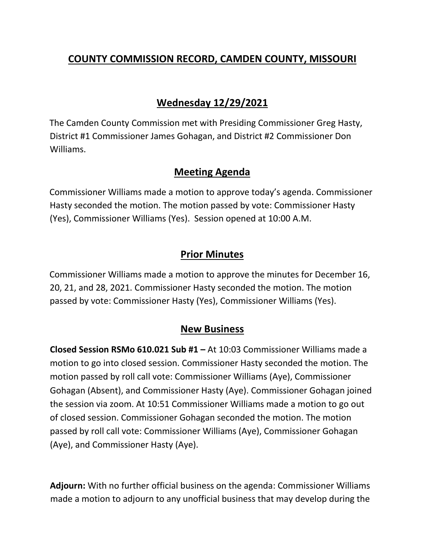# **COUNTY COMMISSION RECORD, CAMDEN COUNTY, MISSOURI**

## **Wednesday 12/29/2021**

The Camden County Commission met with Presiding Commissioner Greg Hasty, District #1 Commissioner James Gohagan, and District #2 Commissioner Don Williams.

### **Meeting Agenda**

Commissioner Williams made a motion to approve today's agenda. Commissioner Hasty seconded the motion. The motion passed by vote: Commissioner Hasty (Yes), Commissioner Williams (Yes). Session opened at 10:00 A.M.

### **Prior Minutes**

Commissioner Williams made a motion to approve the minutes for December 16, 20, 21, and 28, 2021. Commissioner Hasty seconded the motion. The motion passed by vote: Commissioner Hasty (Yes), Commissioner Williams (Yes).

#### **New Business**

**Closed Session RSMo 610.021 Sub #1 –** At 10:03 Commissioner Williams made a motion to go into closed session. Commissioner Hasty seconded the motion. The motion passed by roll call vote: Commissioner Williams (Aye), Commissioner Gohagan (Absent), and Commissioner Hasty (Aye). Commissioner Gohagan joined the session via zoom. At 10:51 Commissioner Williams made a motion to go out of closed session. Commissioner Gohagan seconded the motion. The motion passed by roll call vote: Commissioner Williams (Aye), Commissioner Gohagan (Aye), and Commissioner Hasty (Aye).

**Adjourn:** With no further official business on the agenda: Commissioner Williams made a motion to adjourn to any unofficial business that may develop during the